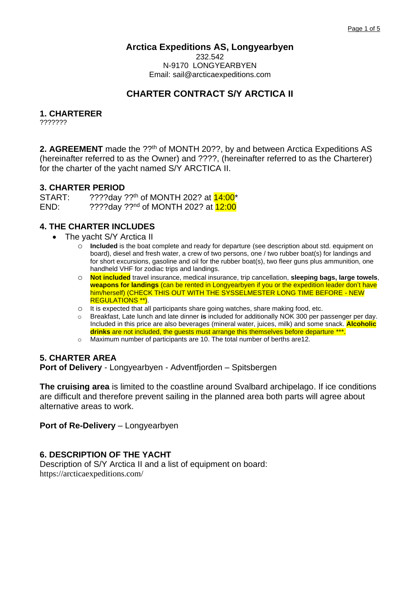# **Arctica Expeditions AS, Longyearbyen**

232.542 N-9170 LONGYEARBYEN Email: sail@arcticaexpeditions.com

# **CHARTER CONTRACT S/Y ARCTICA II**

# **1. CHARTERER**

???????

**2. AGREEMENT** made the ??<sup>th</sup> of MONTH 20??, by and between Arctica Expeditions AS (hereinafter referred to as the Owner) and ????, (hereinafter referred to as the Charterer) for the charter of the yacht named S/Y ARCTICA II.

#### **3. CHARTER PERIOD**

START: ????day ??<sup>th</sup> of MONTH 202? at **14:00**\* END: ????day ??<sup>nd</sup> of MONTH 202? at 12:00

### **4. THE CHARTER INCLUDES**

- The yacht S/Y Arctica II
	- o **Included** is the boat complete and ready for departure (see description about std. equipment on board), diesel and fresh water, a crew of two persons, one / two rubber boat(s) for landings and for short excursions, gasoline and oil for the rubber boat(s), two fleer guns plus ammunition, one handheld VHF for zodiac trips and landings.
	- o **Not included** travel insurance, medical insurance, trip cancellation, **sleeping bags, large towels**, **weapons for landings** (can be rented in Longyearbyen if you or the expedition leader don't have him/herself) (CHECK THIS OUT WITH THE SYSSELMESTER LONG TIME BEFORE - NEW REGULATIONS \*\*).
	- o It is expected that all participants share going watches, share making food, etc.
	- o Breakfast, Late lunch and late dinner **is** included for additionally NOK 300 per passenger per day. Included in this price are also beverages (mineral water, juices, milk) and some snack. **Alcoholic drinks** are not included, the guests must arrange this themselves before departure \*\*\*.
	- o Maximum number of participants are 10. The total number of berths are12.

### **5. CHARTER AREA**

**Port of Delivery** - Longyearbyen - Adventfjorden – Spitsbergen

**The cruising area** is limited to the coastline around Svalbard archipelago. If ice conditions are difficult and therefore prevent sailing in the planned area both parts will agree about alternative areas to work.

**Port of Re-Delivery – Longyearbyen** 

### **6. DESCRIPTION OF THE YACHT**

Description of S/Y Arctica II and a list of equipment on board: https://arcticaexpeditions.com/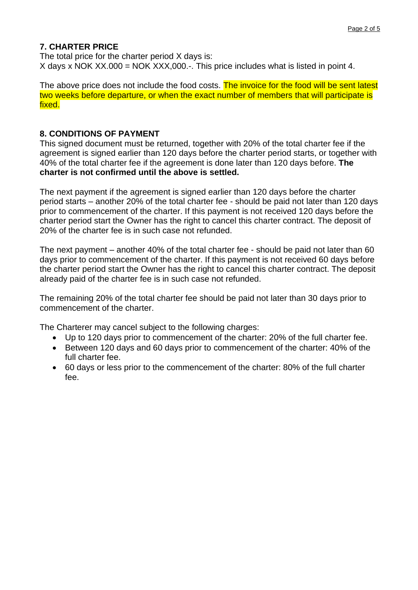# **7. CHARTER PRICE**

The total price for the charter period X days is: X days x NOK XX.000 = NOK XXX,000.-. This price includes what is listed in point 4.

The above price does not include the food costs. The invoice for the food will be sent latest two weeks before departure, or when the exact number of members that will participate is fixed.

# **8. CONDITIONS OF PAYMENT**

This signed document must be returned, together with 20% of the total charter fee if the agreement is signed earlier than 120 days before the charter period starts, or together with 40% of the total charter fee if the agreement is done later than 120 days before. **The charter is not confirmed until the above is settled.**

The next payment if the agreement is signed earlier than 120 days before the charter period starts – another 20% of the total charter fee - should be paid not later than 120 days prior to commencement of the charter. If this payment is not received 120 days before the charter period start the Owner has the right to cancel this charter contract. The deposit of 20% of the charter fee is in such case not refunded.

The next payment – another 40% of the total charter fee - should be paid not later than 60 days prior to commencement of the charter. If this payment is not received 60 days before the charter period start the Owner has the right to cancel this charter contract. The deposit already paid of the charter fee is in such case not refunded.

The remaining 20% of the total charter fee should be paid not later than 30 days prior to commencement of the charter.

The Charterer may cancel subject to the following charges:

- Up to 120 days prior to commencement of the charter: 20% of the full charter fee.
- Between 120 days and 60 days prior to commencement of the charter: 40% of the full charter fee.
- 60 days or less prior to the commencement of the charter: 80% of the full charter fee.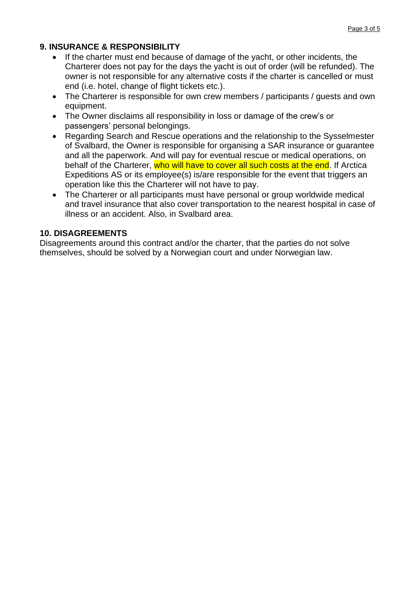# **9. INSURANCE & RESPONSIBILITY**

- If the charter must end because of damage of the yacht, or other incidents, the Charterer does not pay for the days the yacht is out of order (will be refunded). The owner is not responsible for any alternative costs if the charter is cancelled or must end (i.e. hotel, change of flight tickets etc.).
- The Charterer is responsible for own crew members / participants / quests and own equipment.
- The Owner disclaims all responsibility in loss or damage of the crew's or passengers' personal belongings.
- Regarding Search and Rescue operations and the relationship to the Sysselmester of Svalbard, the Owner is responsible for organising a SAR insurance or guarantee and all the paperwork. And will pay for eventual rescue or medical operations, on behalf of the Charterer, who will have to cover all such costs at the end. If Arctica Expeditions AS or its employee(s) is/are responsible for the event that triggers an operation like this the Charterer will not have to pay.
- The Charterer or all participants must have personal or group worldwide medical and travel insurance that also cover transportation to the nearest hospital in case of illness or an accident. Also, in Svalbard area.

# **10. DISAGREEMENTS**

Disagreements around this contract and/or the charter, that the parties do not solve themselves, should be solved by a Norwegian court and under Norwegian law.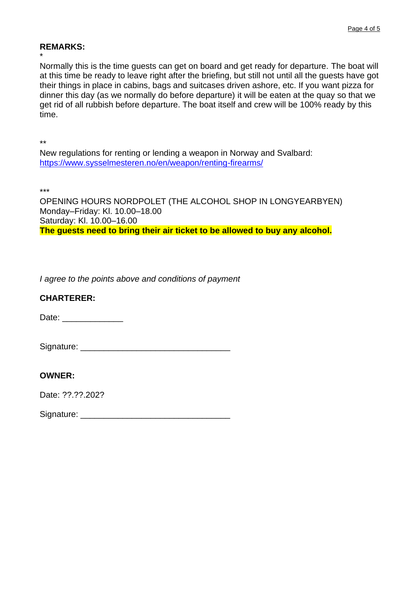#### **REMARKS:**

\* Normally this is the time guests can get on board and get ready for departure. The boat will at this time be ready to leave right after the briefing, but still not until all the guests have got their things in place in cabins, bags and suitcases driven ashore, etc. If you want pizza for dinner this day (as we normally do before departure) it will be eaten at the quay so that we get rid of all rubbish before departure. The boat itself and crew will be 100% ready by this time.

\*\*

New regulations for renting or lending a weapon in Norway and Svalbard: <https://www.sysselmesteren.no/en/weapon/renting-firearms/>

\*\*\*

OPENING HOURS NORDPOLET (THE ALCOHOL SHOP IN LONGYEARBYEN) Monday–Friday: Kl. 10.00–18.00 Saturday: Kl. 10.00–16.00 **The guests need to bring their air ticket to be allowed to buy any alcohol.**

*I agree to the points above and conditions of payment*

### **CHARTERER:**

Date: \_\_\_\_\_\_\_\_\_\_\_\_\_

Signature: \_\_\_\_\_\_\_\_\_\_\_\_\_\_\_\_\_\_\_\_\_\_\_\_\_\_\_\_\_\_\_\_

### **OWNER:**

Date: ??.??.202?

Signature: **Example 2018**